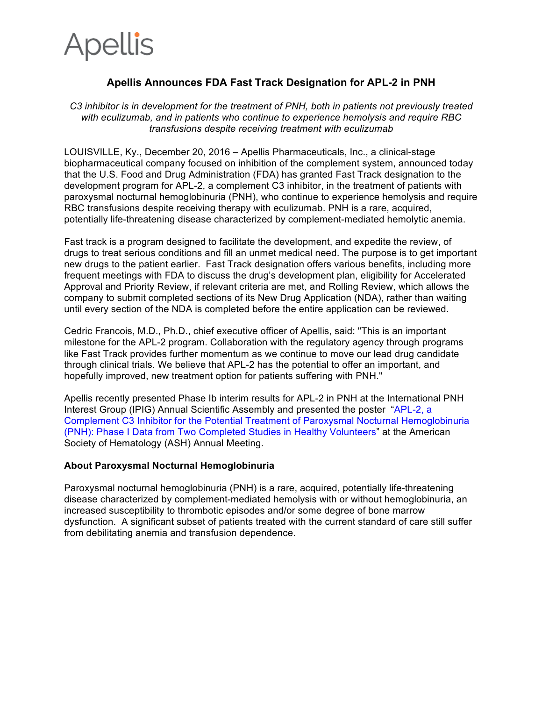# **Apellis**

## **Apellis Announces FDA Fast Track Designation for APL-2 in PNH**

*C3 inhibitor is in development for the treatment of PNH, both in patients not previously treated with eculizumab, and in patients who continue to experience hemolysis and require RBC transfusions despite receiving treatment with eculizumab*

LOUISVILLE, Ky., December 20, 2016 – Apellis Pharmaceuticals, Inc., a clinical-stage biopharmaceutical company focused on inhibition of the complement system, announced today that the U.S. Food and Drug Administration (FDA) has granted Fast Track designation to the development program for APL-2, a complement C3 inhibitor, in the treatment of patients with paroxysmal nocturnal hemoglobinuria (PNH), who continue to experience hemolysis and require RBC transfusions despite receiving therapy with eculizumab. PNH is a rare, acquired, potentially life-threatening disease characterized by complement-mediated hemolytic anemia.

Fast track is a program designed to facilitate the development, and expedite the review, of drugs to treat serious conditions and fill an unmet medical need. The purpose is to get important new drugs to the patient earlier. Fast Track designation offers various benefits, including more frequent meetings with FDA to discuss the drug's development plan, eligibility for Accelerated Approval and Priority Review, if relevant criteria are met, and Rolling Review, which allows the company to submit completed sections of its New Drug Application (NDA), rather than waiting until every section of the NDA is completed before the entire application can be reviewed.

Cedric Francois, M.D., Ph.D., chief executive officer of Apellis, said: "This is an important milestone for the APL-2 program. Collaboration with the regulatory agency through programs like Fast Track provides further momentum as we continue to move our lead drug candidate through clinical trials. We believe that APL-2 has the potential to offer an important, and hopefully improved, new treatment option for patients suffering with PNH."

Apellis recently presented Phase Ib interim results for APL-2 in PNH at the International PNH Interest Group (IPIG) Annual Scientific Assembly and presented the poster "APL-2, a Complement C3 Inhibitor for the Potential Treatment of Paroxysmal Nocturnal Hemoglobinuria (PNH): Phase I Data from Two Completed Studies in Healthy Volunteers" at the American Society of Hematology (ASH) Annual Meeting.

### **About Paroxysmal Nocturnal Hemoglobinuria**

Paroxysmal nocturnal hemoglobinuria (PNH) is a rare, acquired, potentially life-threatening disease characterized by complement-mediated hemolysis with or without hemoglobinuria, an increased susceptibility to thrombotic episodes and/or some degree of bone marrow dysfunction. A significant subset of patients treated with the current standard of care still suffer from debilitating anemia and transfusion dependence.